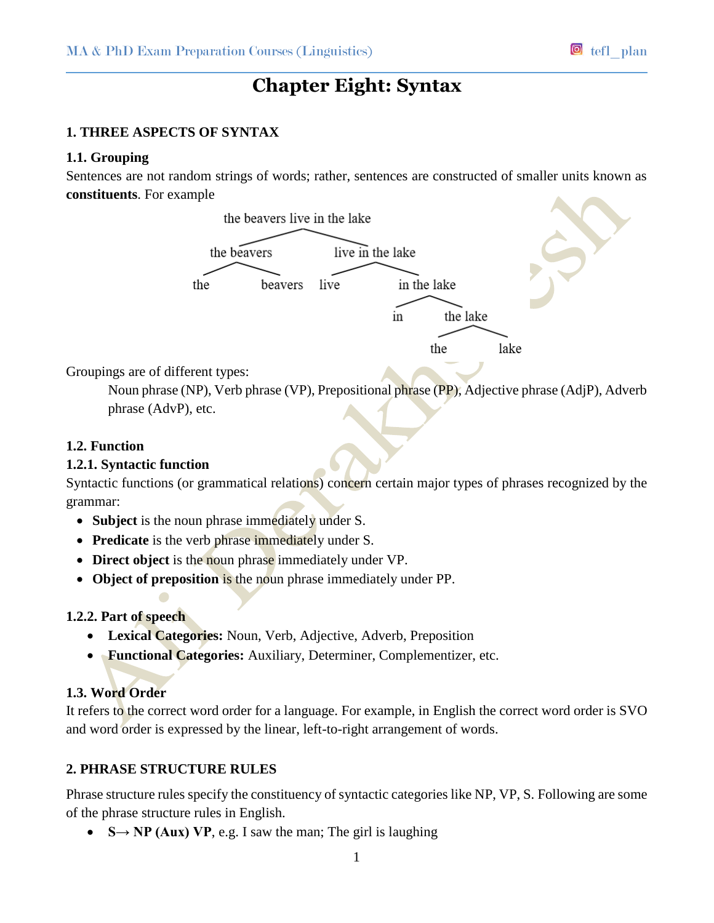# **Chapter Eight: Syntax**

## **1. THREE ASPECTS OF SYNTAX**

## **1.1. Grouping**

Sentences are not random strings of words; rather, sentences are constructed of smaller units known as **constituents**. For example



Groupings are of different types:

Noun phrase (NP), Verb phrase (VP), Prepositional phrase (PP), Adjective phrase (AdjP), Adverb phrase (AdvP), etc.

## **1.2. Function**

## **1.2.1. Syntactic function**

Syntactic functions (or grammatical relations) concern certain major types of phrases recognized by the grammar:

- **Subject** is the noun phrase immediately under S.
- **Predicate** is the verb phrase immediately under S.
- **Direct object** is the noun phrase immediately under VP.
- **Object of preposition** is the noun phrase immediately under PP.

## **1.2.2. Part of speech**

- **Lexical Categories:** Noun, Verb, Adjective, Adverb, Preposition
- **Functional Categories:** Auxiliary, Determiner, Complementizer, etc.

## **1.3. Word Order**

It refers to the correct word order for a language. For example, in English the correct word order is SVO and word order is expressed by the linear, left-to-right arrangement of words.

## **2. PHRASE STRUCTURE RULES**

Phrase structure rules specify the constituency of syntactic categories like NP, VP, S. Following are some of the phrase structure rules in English.

 $\bullet$  **S** $\rightarrow$  **NP** (Aux) VP, e.g. I saw the man; The girl is laughing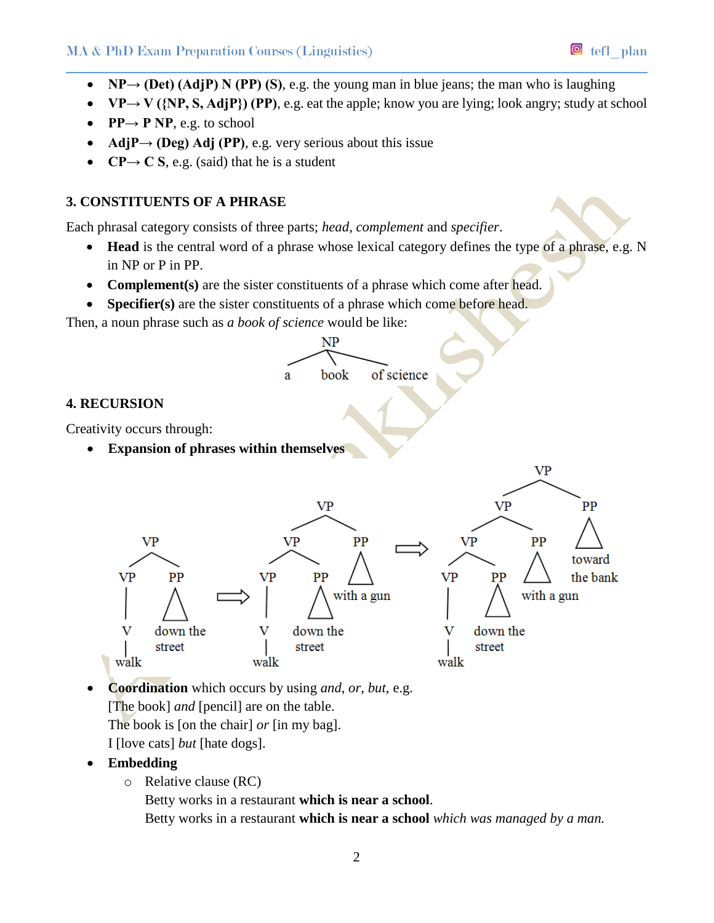- **NP** $\rightarrow$  **(Det)** (AdjP) N (PP) (S), e.g. the young man in blue jeans; the man who is laughing
- $\mathbf{V} = \mathbf{V} = \mathbf{V}$  ({NP, **S**, AdjP}) (PP), e.g. eat the apple; know you are lying; look angry; study at school
- **•**  $PP \rightarrow P NP$ , e.g. to school
- **AdjP** $\rightarrow$  (Deg) Adj (PP), e.g. very serious about this issue
- **CP** $\rightarrow$  **C S**, e.g. (said) that he is a student

# **3. CONSTITUENTS OF A PHRASE**

Each phrasal category consists of three parts; *head*, *complement* and *specifier*.

- **Head** is the central word of a phrase whose lexical category defines the type of a phrase, e.g. N in NP or P in PP.
- **Complement(s)** are the sister constituents of a phrase which come after head*.*
- **Specifier(s)** are the sister constituents of a phrase which come before head.

Then, a noun phrase such as *a book of science* would be like:



- **Coordination** which occurs by using *and*, *or*, *but*, e.g. [The book] *and* [pencil] are on the table. The book is [on the chair] *or* [in my bag]. I [love cats] *but* [hate dogs].
- **Embedding**
	- o Relative clause (RC)

Betty works in a restaurant **which is near a school**.

Betty works in a restaurant **which is near a school** *which was managed by a man.*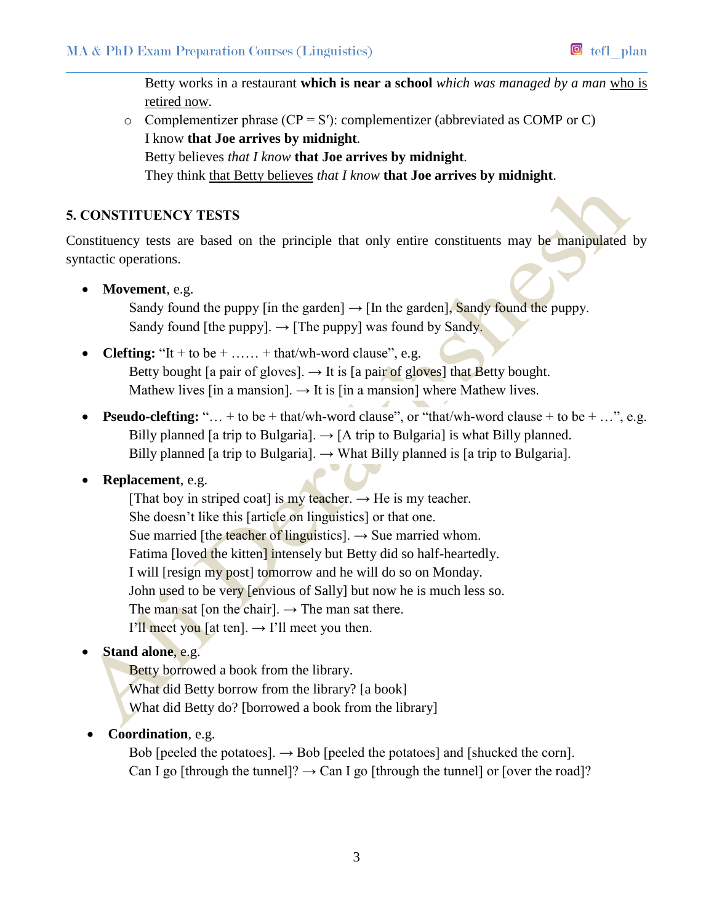Betty works in a restaurant **which is near a school** *which was managed by a man* who is retired now*.*

 $\circ$  Complementizer phrase (CP = S'): complementizer (abbreviated as COMP or C) I know **that Joe arrives by midnight***.* Betty believes *that I know* **that Joe arrives by midnight***.* They think that Betty believes *that I know* **that Joe arrives by midnight**.

## **5. CONSTITUENCY TESTS**

Constituency tests are based on the principle that only entire constituents may be manipulated by syntactic operations.

**Movement**, e.g.

Sandy found the puppy [in the garden]  $\rightarrow$  [In the garden], Sandy found the puppy. Sandy found [the puppy].  $\rightarrow$  [The puppy] was found by Sandy.

- **Clefting:** "It + to be + …… + that/wh-word clause", e.g. Betty bought [a pair of gloves].  $\rightarrow$  It is [a pair of gloves] that Betty bought. Mathew lives [in a mansion].  $\rightarrow$  It is [in a mansion] where Mathew lives.
- **Pseudo-clefting:** "... + to be + that/wh-word clause", or "that/wh-word clause + to be + ...", e.g. Billy planned [a trip to Bulgaria].  $\rightarrow$  [A trip to Bulgaria] is what Billy planned. Billy planned [a trip to Bulgaria].  $\rightarrow$  What Billy planned is [a trip to Bulgaria].

## **Replacement**, e.g.

[That boy in striped coat] is my teacher.  $\rightarrow$  He is my teacher. She doesn't like this [article on linguistics] or that one. Sue married [the teacher of linguistics].  $\rightarrow$  Sue married whom. Fatima [loved the kitten] intensely but Betty did so half-heartedly. I will [resign my post] tomorrow and he will do so on Monday. John used to be very [envious of Sally] but now he is much less so. The man sat [on the chair].  $\rightarrow$  The man sat there. I'll meet you [at ten].  $\rightarrow$  I'll meet you then.

# **Stand alone**, e.g.

Betty borrowed a book from the library. What did Betty borrow from the library? [a book] What did Betty do? [borrowed a book from the library]

## **Coordination**, e.g.

Bob [peeled the potatoes].  $\rightarrow$  Bob [peeled the potatoes] and [shucked the corn]. Can I go [through the tunnel]?  $\rightarrow$  Can I go [through the tunnel] or [over the road]?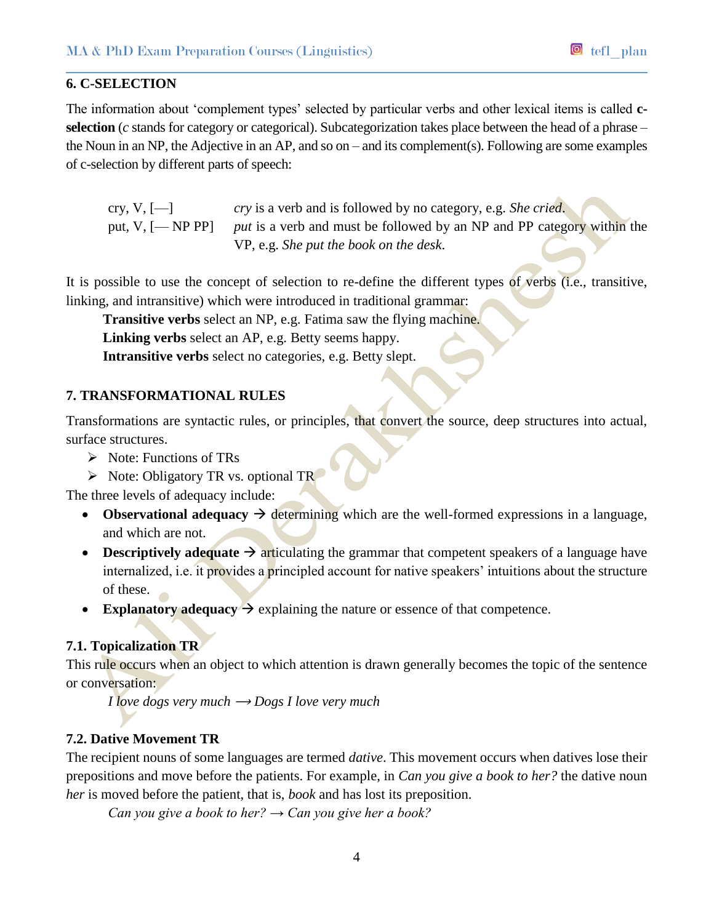#### **6. C-SELECTION**

The information about 'complement types' selected by particular verbs and other lexical items is called **cselection** (*c* stands for category or categorical). Subcategorization takes place between the head of a phrase – the Noun in an NP, the Adjective in an AP, and so on – and its complement(s). Following are some examples of c-selection by different parts of speech:

cry, V, [—] *cry* is a verb and is followed by no category, e.g. *She cried*. put, V, [— NP PP] *put* is a verb and must be followed by an NP and PP category within the VP, e.g. *She put the book on the desk*.

It is possible to use the concept of selection to re-define the different types of verbs (i.e., transitive, linking, and intransitive) which were introduced in traditional grammar:

**Transitive verbs** select an NP, e.g. Fatima saw the flying machine.

**Linking verbs** select an AP, e.g. Betty seems happy.

**Intransitive verbs** select no categories, e.g. Betty slept.

#### **7. TRANSFORMATIONAL RULES**

Transformations are syntactic rules, or principles, that convert the source, deep structures into actual, surface structures.

- $\triangleright$  Note: Functions of TRs
- $\triangleright$  Note: Obligatory TR vs. optional TR

The three levels of adequacy include:

- **Observational adequacy**  $\rightarrow$  determining which are the well-formed expressions in a language, and which are not.
- **Descriptively adequate**  $\rightarrow$  articulating the grammar that competent speakers of a language have internalized, i.e. it provides a principled account for native speakers' intuitions about the structure of these.
- **Explanatory adequacy**  $\rightarrow$  explaining the nature or essence of that competence.

#### **7.1. Topicalization TR**

This rule occurs when an object to which attention is drawn generally becomes the topic of the sentence or conversation:

*I* love dogs very much  $\rightarrow$  Dogs *I* love very much

## **7.2. Dative Movement TR**

The recipient nouns of some languages are termed *dative*. This movement occurs when datives lose their prepositions and move before the patients. For example, in *Can you give a book to her?* the dative noun *her* is moved before the patient, that is, *book* and has lost its preposition.

*Can you give a book to her? → Can you give her a book?*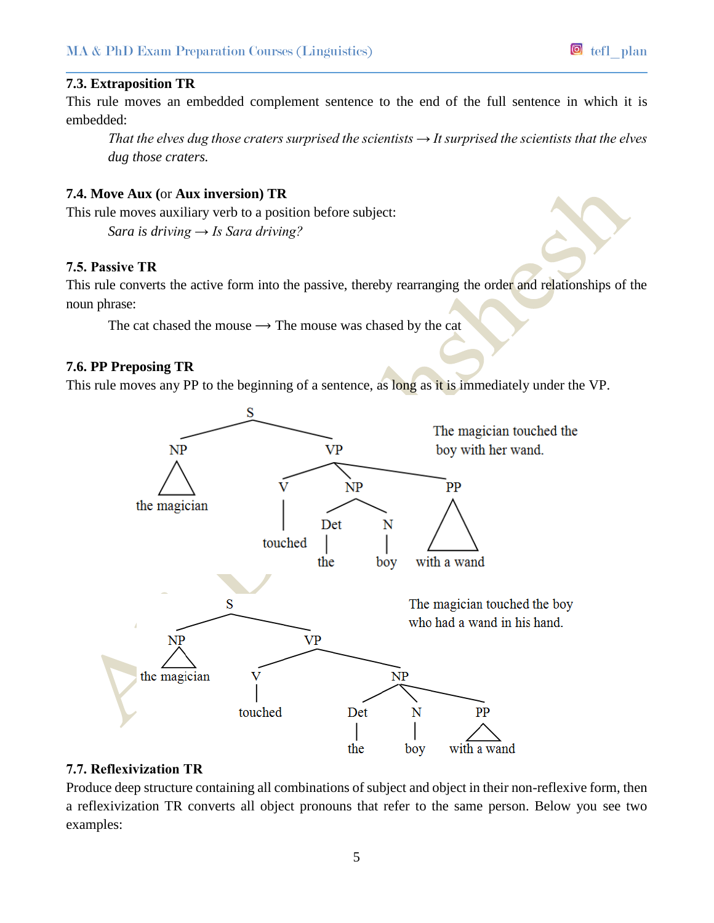### **7.3. Extraposition TR**

This rule moves an embedded complement sentence to the end of the full sentence in which it is embedded:

*That the elves dug those craters surprised the scientists*  $\rightarrow$  *It surprised the scientists that the elves dug those craters.*

# **7.4. Move Aux (**or **Aux inversion) TR**

This rule moves auxiliary verb to a position before subject: *Sara is driving → Is Sara driving?*

#### **7.5. Passive TR**

This rule converts the active form into the passive, thereby rearranging the order and relationships of the noun phrase:

The cat chased the mouse  $\rightarrow$  The mouse was chased by the cat

#### **7.6. PP Preposing TR**

This rule moves any PP to the beginning of a sentence, as long as it is immediately under the VP.



#### **7.7. Reflexivization TR**

Produce deep structure containing all combinations of subject and object in their non-reflexive form, then a reflexivization TR converts all object pronouns that refer to the same person. Below you see two examples: